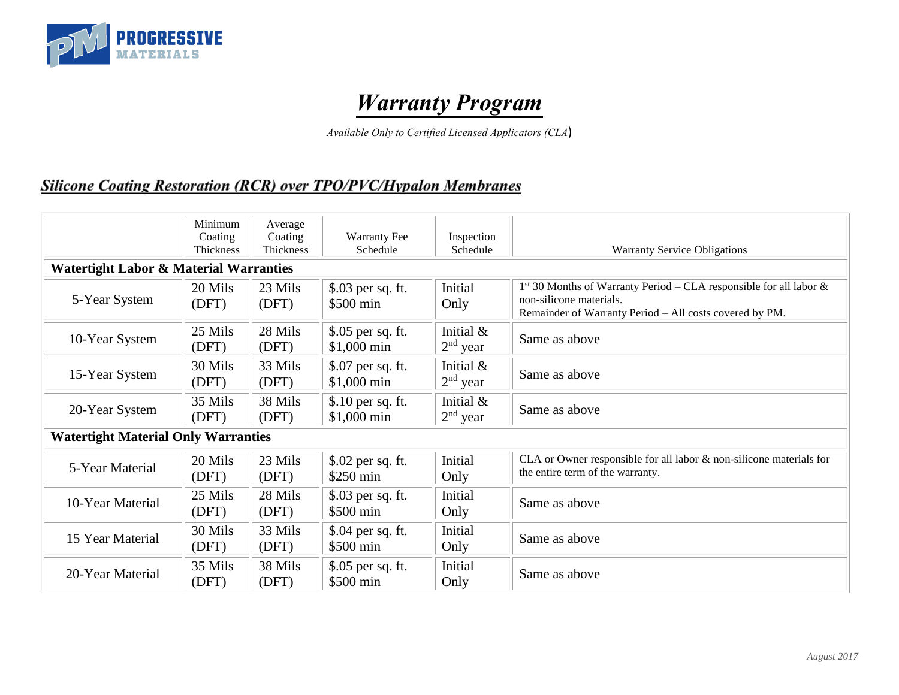

# *Warranty Program*

*Available Only to Certified Licensed Applicators (CLA*)

#### **Silicone Coating Restoration (RCR) over TPO/PVC/Hypalon Membranes**

|                                                   | Minimum<br>Coating<br>Thickness | Average<br>Coating<br>Thickness | <b>Warranty Fee</b><br>Schedule   | Inspection<br>Schedule     | <b>Warranty Service Obligations</b>                                                                                                                        |  |  |  |
|---------------------------------------------------|---------------------------------|---------------------------------|-----------------------------------|----------------------------|------------------------------------------------------------------------------------------------------------------------------------------------------------|--|--|--|
| <b>Watertight Labor &amp; Material Warranties</b> |                                 |                                 |                                   |                            |                                                                                                                                                            |  |  |  |
| 5-Year System                                     | 20 Mils<br>(DFT)                | 23 Mils<br>(DFT)                | \$.03 per sq. ft.<br>\$500 min    | Initial<br>Only            | $1st$ 30 Months of Warranty Period – CLA responsible for all labor &<br>non-silicone materials.<br>Remainder of Warranty Period - All costs covered by PM. |  |  |  |
| 10-Year System                                    | 25 Mils<br>(DFT)                | 28 Mils<br>(DFT)                | \$.05 per sq. ft.<br>$$1,000$ min | Initial $&$<br>$2nd$ year  | Same as above                                                                                                                                              |  |  |  |
| 15-Year System                                    | 30 Mils<br>(DFT)                | 33 Mils<br>(DFT)                | \$.07 per sq. ft.<br>\$1,000 min  | Initial $&$<br>$2nd$ year  | Same as above                                                                                                                                              |  |  |  |
| 20-Year System                                    | 35 Mils<br>(DFT)                | 38 Mils<br>(DFT)                | \$.10 per sq. ft.<br>\$1,000 min  | Initial $\&$<br>$2nd$ year | Same as above                                                                                                                                              |  |  |  |
| <b>Watertight Material Only Warranties</b>        |                                 |                                 |                                   |                            |                                                                                                                                                            |  |  |  |
| 5-Year Material                                   | 20 Mils<br>(DFT)                | 23 Mils<br>(DFT)                | \$.02 per sq. ft.<br>$$250$ min   | Initial<br>Only            | CLA or Owner responsible for all labor & non-silicone materials for<br>the entire term of the warranty.                                                    |  |  |  |
| 10-Year Material                                  | 25 Mils<br>(DFT)                | 28 Mils<br>(DFT)                | \$.03 per sq. ft.<br>\$500 min    | Initial<br>Only            | Same as above                                                                                                                                              |  |  |  |
| 15 Year Material                                  | 30 Mils<br>(DFT)                | 33 Mils<br>(DFT)                | \$.04 per sq. ft.<br>\$500 min    | Initial<br>Only            | Same as above                                                                                                                                              |  |  |  |
| 20-Year Material                                  | 35 Mils<br>(DFT)                | 38 Mils<br>(DFT)                | \$.05 per sq. ft.<br>\$500 min    | Initial<br>Only            | Same as above                                                                                                                                              |  |  |  |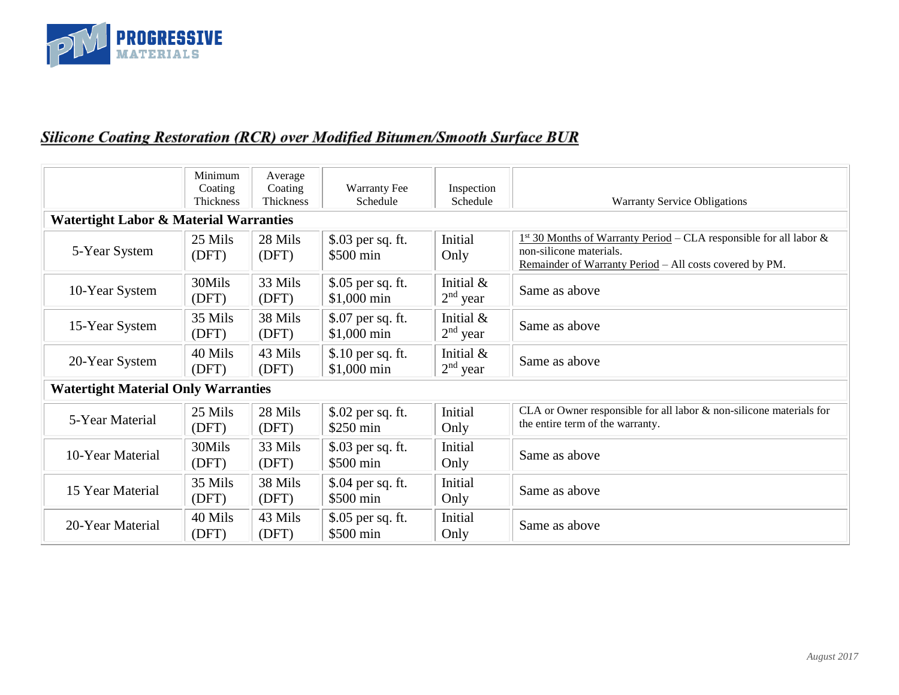

## **Silicone Coating Restoration (RCR) over Modified Bitumen/Smooth Surface BUR**

|                                                   | Minimum<br>Coating<br>Thickness            | Average<br>Coating<br><b>Thickness</b> | <b>Warranty Fee</b><br>Schedule   | Inspection<br>Schedule     | <b>Warranty Service Obligations</b>                                                                                                                        |  |  |  |
|---------------------------------------------------|--------------------------------------------|----------------------------------------|-----------------------------------|----------------------------|------------------------------------------------------------------------------------------------------------------------------------------------------------|--|--|--|
| <b>Watertight Labor &amp; Material Warranties</b> |                                            |                                        |                                   |                            |                                                                                                                                                            |  |  |  |
| 5-Year System                                     | 25 Mils<br>(DFT)                           | 28 Mils<br>(DFT)                       | \$.03 per sq. ft.<br>\$500 min    | Initial<br>Only            | $1st$ 30 Months of Warranty Period – CLA responsible for all labor &<br>non-silicone materials.<br>Remainder of Warranty Period - All costs covered by PM. |  |  |  |
| 10-Year System                                    | 30Mils<br>(DFT)                            | 33 Mils<br>(DFT)                       | \$.05 per sq. ft.<br>\$1,000 min  | Initial &<br>$2nd$ year    | Same as above                                                                                                                                              |  |  |  |
| 15-Year System                                    | 35 Mils<br>(DFT)                           | 38 Mils<br>(DFT)                       | \$.07 per sq. ft.<br>$$1,000$ min | Initial $\&$<br>$2nd$ year | Same as above                                                                                                                                              |  |  |  |
| 20-Year System                                    | 40 Mils<br>(DFT)                           | 43 Mils<br>(DFT)                       | \$.10 per sq. ft.<br>\$1,000 min  | Initial &<br>$2nd$ year    | Same as above                                                                                                                                              |  |  |  |
|                                                   | <b>Watertight Material Only Warranties</b> |                                        |                                   |                            |                                                                                                                                                            |  |  |  |
| 5-Year Material                                   | 25 Mils<br>(DFT)                           | 28 Mils<br>(DFT)                       | \$.02 per sq. ft.<br>\$250 min    | Initial<br>Only            | CLA or Owner responsible for all labor $\&$ non-silicone materials for<br>the entire term of the warranty.                                                 |  |  |  |
| 10-Year Material                                  | 30Mils<br>(DFT)                            | 33 Mils<br>(DFT)                       | \$.03 per sq. ft.<br>\$500 min    | Initial<br>Only            | Same as above                                                                                                                                              |  |  |  |
| 15 Year Material                                  | 35 Mils<br>(DFT)                           | 38 Mils<br>(DFT)                       | \$.04 per sq. ft.<br>\$500 min    | Initial<br>Only            | Same as above                                                                                                                                              |  |  |  |
| 20-Year Material                                  | 40 Mils<br>(DFT)                           | 43 Mils<br>(DFT)                       | \$.05 per sq. ft.<br>\$500 min    | Initial<br>Only            | Same as above                                                                                                                                              |  |  |  |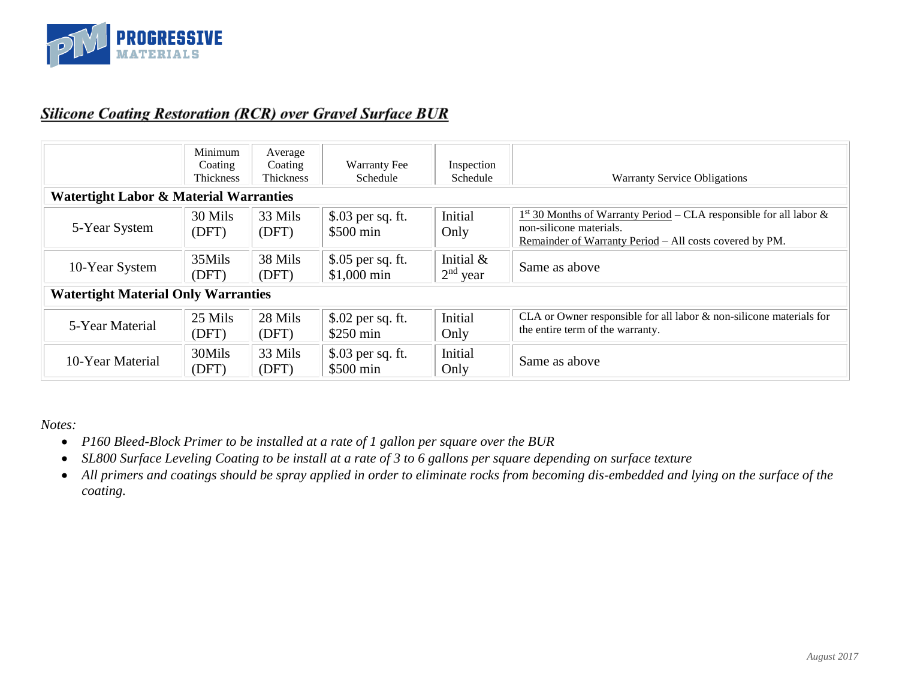

#### **Silicone Coating Restoration (RCR) over Gravel Surface BUR**

|                                                   | Minimum<br>Coating<br>Thickness | Average<br>Coating<br>Thickness | <b>Warranty Fee</b><br>Schedule  | Inspection<br>Schedule  | <b>Warranty Service Obligations</b>                                                                                                                        |  |
|---------------------------------------------------|---------------------------------|---------------------------------|----------------------------------|-------------------------|------------------------------------------------------------------------------------------------------------------------------------------------------------|--|
| <b>Watertight Labor &amp; Material Warranties</b> |                                 |                                 |                                  |                         |                                                                                                                                                            |  |
| 5-Year System                                     | 30 Mils<br>(DFT)                | 33 Mils<br>(DFT)                | \$.03 per sq. ft.<br>\$500 min   | Initial<br>Only         | $1st$ 30 Months of Warranty Period – CLA responsible for all labor &<br>non-silicone materials.<br>Remainder of Warranty Period – All costs covered by PM. |  |
| 10-Year System                                    | 35Mils<br>(DFT)                 | 38 Mils<br>(DFT)                | \$.05 per sq. ft.<br>\$1,000 min | Initial &<br>$2nd$ year | Same as above                                                                                                                                              |  |
| <b>Watertight Material Only Warranties</b>        |                                 |                                 |                                  |                         |                                                                                                                                                            |  |
| 5-Year Material                                   | 25 Mils<br>(DFT)                | 28 Mils<br>(DFT)                | \$.02 per sq. ft.<br>$$250$ min  | Initial<br>Only         | CLA or Owner responsible for all labor $\&$ non-silicone materials for<br>the entire term of the warranty.                                                 |  |
| 10-Year Material                                  | 30Mils<br>(DFT)                 | 33 Mils<br>(DFT)                | \$.03 per sq. ft.<br>\$500 min   | Initial<br>Only         | Same as above                                                                                                                                              |  |

*Notes:*

- *P160 Bleed-Block Primer to be installed at a rate of 1 gallon per square over the BUR*
- *SL800 Surface Leveling Coating to be install at a rate of 3 to 6 gallons per square depending on surface texture*
- *All primers and coatings should be spray applied in order to eliminate rocks from becoming dis-embedded and lying on the surface of the coating.*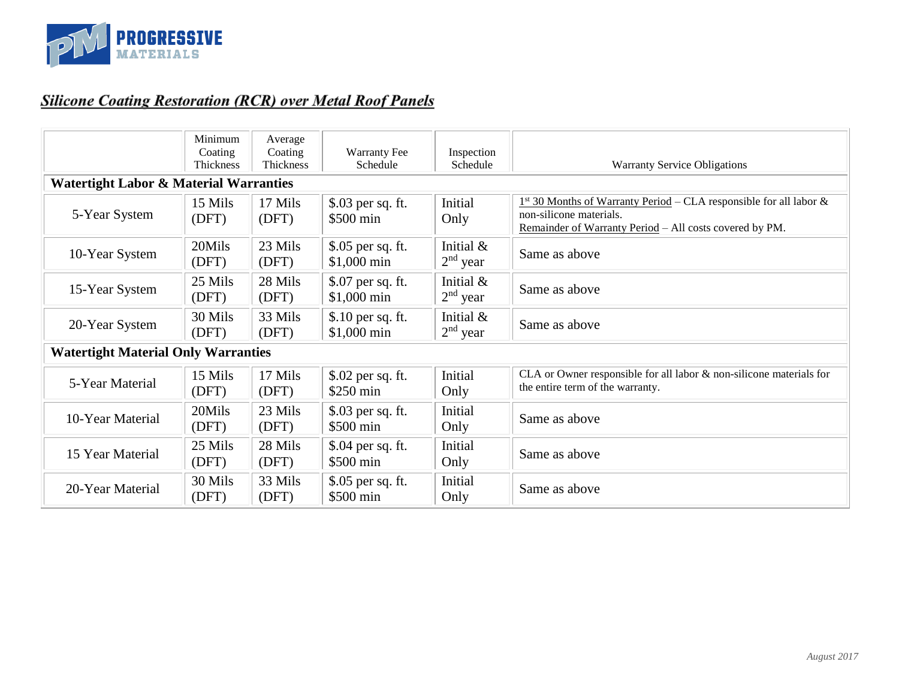

# **Silicone Coating Restoration (RCR) over Metal Roof Panels**

|                                                   | Minimum<br>Coating<br>Thickness | Average<br>Coating<br>Thickness | <b>Warranty Fee</b><br>Schedule  | Inspection<br>Schedule  | <b>Warranty Service Obligations</b>                                                                                                                        |  |  |  |
|---------------------------------------------------|---------------------------------|---------------------------------|----------------------------------|-------------------------|------------------------------------------------------------------------------------------------------------------------------------------------------------|--|--|--|
| <b>Watertight Labor &amp; Material Warranties</b> |                                 |                                 |                                  |                         |                                                                                                                                                            |  |  |  |
| 5-Year System                                     | 15 Mils<br>(DFT)                | 17 Mils<br>(DFT)                | \$.03 per sq. ft.<br>\$500 min   | Initial<br>Only         | $1st$ 30 Months of Warranty Period – CLA responsible for all labor &<br>non-silicone materials.<br>Remainder of Warranty Period - All costs covered by PM. |  |  |  |
| 10-Year System                                    | 20Mils<br>(DFT)                 | 23 Mils<br>(DFT)                | \$.05 per sq. ft.<br>\$1,000 min | Initial &<br>$2nd$ year | Same as above                                                                                                                                              |  |  |  |
| 15-Year System                                    | 25 Mils<br>(DFT)                | 28 Mils<br>(DFT)                | \$.07 per sq. ft.<br>\$1,000 min | Initial &<br>$2nd$ year | Same as above                                                                                                                                              |  |  |  |
| 20-Year System                                    | 30 Mils<br>(DFT)                | 33 Mils<br>(DFT)                | \$.10 per sq. ft.<br>\$1,000 min | Initial &<br>$2nd$ year | Same as above                                                                                                                                              |  |  |  |
| <b>Watertight Material Only Warranties</b>        |                                 |                                 |                                  |                         |                                                                                                                                                            |  |  |  |
| 5-Year Material                                   | 15 Mils<br>(DFT)                | 17 Mils<br>(DFT)                | \$.02 per sq. ft.<br>\$250 min   | Initial<br>Only         | CLA or Owner responsible for all labor $\&$ non-silicone materials for<br>the entire term of the warranty.                                                 |  |  |  |
| 10-Year Material                                  | 20Mils<br>(DFT)                 | 23 Mils<br>(DFT)                | \$.03 per sq. ft.<br>\$500 min   | Initial<br>Only         | Same as above                                                                                                                                              |  |  |  |
| 15 Year Material                                  | 25 Mils<br>(DFT)                | 28 Mils<br>(DFT)                | $$.04$ per sq. ft.<br>\$500 min  | Initial<br>Only         | Same as above                                                                                                                                              |  |  |  |
| 20-Year Material                                  | 30 Mils<br>(DFT)                | 33 Mils<br>(DFT)                | \$.05 per sq. ft.<br>\$500 min   | Initial<br>Only         | Same as above                                                                                                                                              |  |  |  |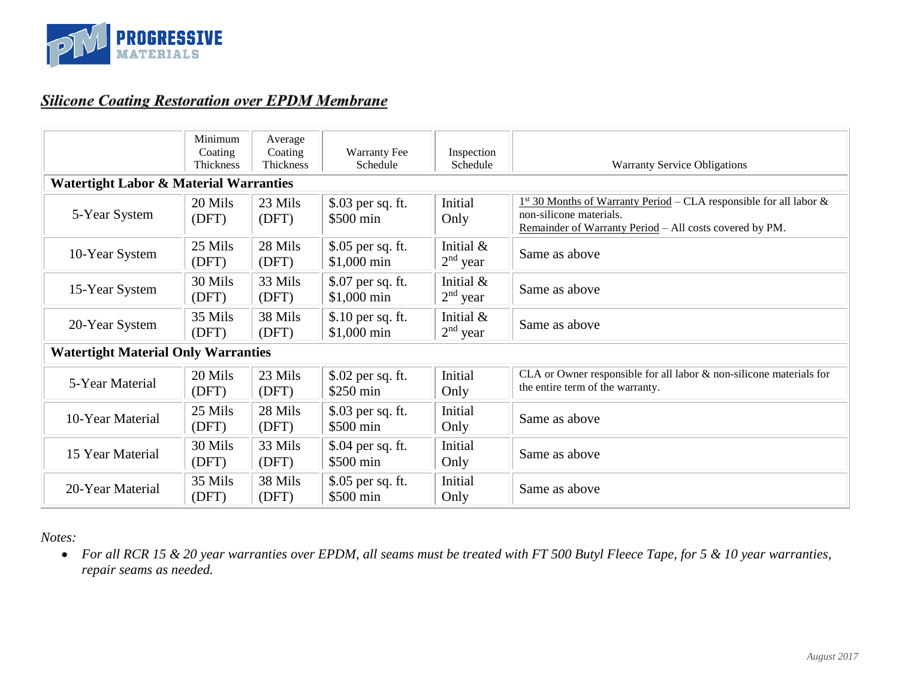

#### **Silicone Coating Restoration over EPDM Membrane**

|                                                   | Minimum<br>Coating<br>Thickness            | Average<br>Coating<br>Thickness | <b>Warranty Fee</b><br>Schedule  | Inspection<br>Schedule  | <b>Warranty Service Obligations</b>                                                                                                                        |  |  |
|---------------------------------------------------|--------------------------------------------|---------------------------------|----------------------------------|-------------------------|------------------------------------------------------------------------------------------------------------------------------------------------------------|--|--|
| <b>Watertight Labor &amp; Material Warranties</b> |                                            |                                 |                                  |                         |                                                                                                                                                            |  |  |
| 5-Year System                                     | 20 Mils<br>(DFT)                           | 23 Mils<br>(DFT)                | \$.03 per sq. ft.<br>\$500 min   | Initial<br>Only         | $1st$ 30 Months of Warranty Period – CLA responsible for all labor &<br>non-silicone materials.<br>Remainder of Warranty Period - All costs covered by PM. |  |  |
| 10-Year System                                    | 25 Mils<br>(DFT)                           | 28 Mils<br>(DFT)                | \$.05 per sq. ft.<br>\$1,000 min | Initial &<br>$2nd$ year | Same as above                                                                                                                                              |  |  |
| 15-Year System                                    | 30 Mils<br>(DFT)                           | 33 Mils<br>(DFT)                | \$.07 per sq. ft.<br>\$1,000 min | Initial &<br>$2nd$ year | Same as above                                                                                                                                              |  |  |
| 20-Year System                                    | 35 Mils<br>(DFT)                           | 38 Mils<br>(DFT)                | \$.10 per sq. ft.<br>\$1,000 min | Initial &<br>$2nd$ year | Same as above                                                                                                                                              |  |  |
|                                                   | <b>Watertight Material Only Warranties</b> |                                 |                                  |                         |                                                                                                                                                            |  |  |
| 5-Year Material                                   | 20 Mils<br>(DFT)                           | 23 Mils<br>(DFT)                | \$.02 per sq. ft.<br>\$250 min   | Initial<br>Only         | CLA or Owner responsible for all labor & non-silicone materials for<br>the entire term of the warranty.                                                    |  |  |
| 10-Year Material                                  | 25 Mils<br>(DFT)                           | 28 Mils<br>(DFT)                | \$.03 per sq. ft.<br>\$500 min   | Initial<br>Only         | Same as above                                                                                                                                              |  |  |
| 15 Year Material                                  | 30 Mils<br>(DFT)                           | 33 Mils<br>(DFT)                | \$.04 per sq. ft.<br>\$500 min   | Initial<br>Only         | Same as above                                                                                                                                              |  |  |
| 20-Year Material                                  | 35 Mils<br>(DFT)                           | 38 Mils<br>(DFT)                | \$.05 per sq. ft.<br>\$500 min   | Initial<br>Only         | Same as above                                                                                                                                              |  |  |

*Notes:*

*For all RCR 15 & 20 year warranties over EPDM, all seams must be treated with FT 500 Butyl Fleece Tape, for 5 & 10 year warranties, repair seams as needed.*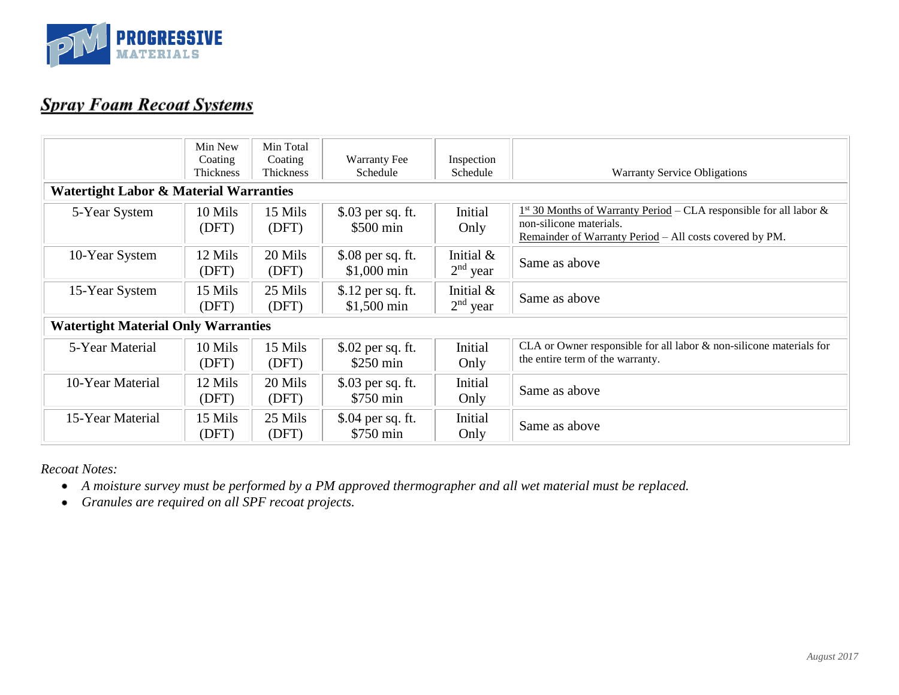

## **Spray Foam Recoat Systems**

| <b>Watertight Labor &amp; Material Warranties</b> | Min New<br>Coating<br>Thickness | Min Total<br>Coating<br>Thickness | Warranty Fee<br>Schedule                | Inspection<br>Schedule     | <b>Warranty Service Obligations</b>                                                                                                                        |
|---------------------------------------------------|---------------------------------|-----------------------------------|-----------------------------------------|----------------------------|------------------------------------------------------------------------------------------------------------------------------------------------------------|
| 5-Year System                                     | 10 Mils<br>(DFT)                | 15 Mils<br>(DFT)                  | \$.03 per sq. ft.<br>\$500 min          | Initial<br>Only            | $1st$ 30 Months of Warranty Period – CLA responsible for all labor &<br>non-silicone materials.<br>Remainder of Warranty Period - All costs covered by PM. |
| 10-Year System                                    | 12 Mils<br>(DFT)                | 20 Mils<br>(DFT)                  | \$.08 per sq. ft.<br>$$1,000$ min       | Initial &<br>$2nd$ year    | Same as above                                                                                                                                              |
| 15-Year System                                    | 15 Mils<br>(DFT)                | 25 Mils<br>(DFT)                  | \$.12 per sq. ft.<br>\$1,500 min        | Initial $\&$<br>$2nd$ year | Same as above                                                                                                                                              |
| <b>Watertight Material Only Warranties</b>        |                                 |                                   |                                         |                            |                                                                                                                                                            |
| 5-Year Material                                   | 10 Mils<br>(DFT)                | 15 Mils<br>(DFT)                  | \$.02 per sq. ft.<br>$$250 \text{ min}$ | Initial<br>Only            | CLA or Owner responsible for all labor $\&$ non-silicone materials for<br>the entire term of the warranty.                                                 |
| 10-Year Material                                  | 12 Mils<br>(DFT)                | 20 Mils<br>(DFT)                  | \$.03 per sq. ft.<br>\$750 min          | Initial<br>Only            | Same as above                                                                                                                                              |
| 15-Year Material                                  | 15 Mils<br>(DFT)                | 25 Mils<br>(DFT)                  | \$.04 per sq. ft.<br>\$750 min          | Initial<br>Only            | Same as above                                                                                                                                              |

*Recoat Notes:*

- *A moisture survey must be performed by a PM approved thermographer and all wet material must be replaced.*
- *Granules are required on all SPF recoat projects.*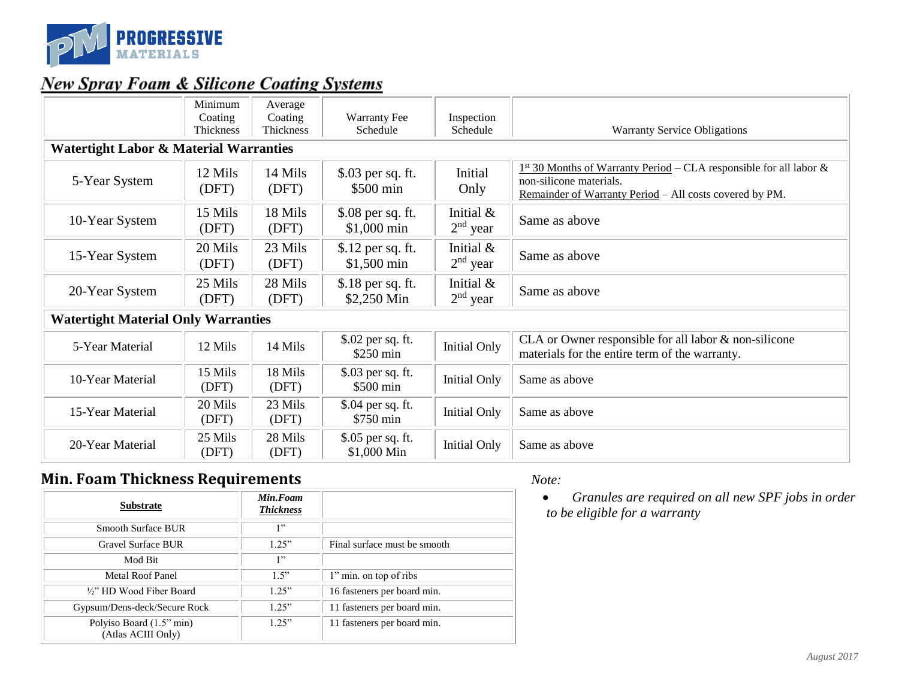

## **New Spray Foam & Silicone Coating Systems**

|                                                   | Minimum<br>Coating<br>Thickness | Average<br>Coating<br><b>Thickness</b> | <b>Warranty Fee</b><br>Schedule   | Inspection<br>Schedule     | <b>Warranty Service Obligations</b>                                                                                                                        |  |  |  |
|---------------------------------------------------|---------------------------------|----------------------------------------|-----------------------------------|----------------------------|------------------------------------------------------------------------------------------------------------------------------------------------------------|--|--|--|
| <b>Watertight Labor &amp; Material Warranties</b> |                                 |                                        |                                   |                            |                                                                                                                                                            |  |  |  |
| 5-Year System                                     | 12 Mils<br>(DFT)                | 14 Mils<br>(DFT)                       | \$.03 per sq. ft.<br>\$500 min    | Initial<br>Only            | $1st$ 30 Months of Warranty Period – CLA responsible for all labor &<br>non-silicone materials.<br>Remainder of Warranty Period - All costs covered by PM. |  |  |  |
| 10-Year System                                    | 15 Mils<br>(DFT)                | 18 Mils<br>(DFT)                       | \$.08 per sq. ft.<br>\$1,000 min  | Initial $\&$<br>$2nd$ year | Same as above                                                                                                                                              |  |  |  |
| 15-Year System                                    | 20 Mils<br>(DFT)                | 23 Mils<br>(DFT)                       | \$.12 per sq. ft.<br>$$1,500$ min | Initial $\&$<br>$2nd$ year | Same as above                                                                                                                                              |  |  |  |
| 20-Year System                                    | 25 Mils<br>(DFT)                | 28 Mils<br>(DFT)                       | \$.18 per sq. ft.<br>\$2,250 Min  | Initial $\&$<br>$2nd$ year | Same as above                                                                                                                                              |  |  |  |
| <b>Watertight Material Only Warranties</b>        |                                 |                                        |                                   |                            |                                                                                                                                                            |  |  |  |
| 5-Year Material                                   | 12 Mils                         | 14 Mils                                | \$.02 per sq. ft.<br>$$250$ min   | <b>Initial Only</b>        | CLA or Owner responsible for all labor & non-silicone<br>materials for the entire term of the warranty.                                                    |  |  |  |
| 10-Year Material                                  | 15 Mils<br>(DFT)                | 18 Mils<br>(DFT)                       | \$.03 per sq. ft.<br>\$500 min    | <b>Initial Only</b>        | Same as above                                                                                                                                              |  |  |  |
| 15-Year Material                                  | 20 Mils<br>(DFT)                | 23 Mils<br>(DFT)                       | \$.04 per sq. ft.<br>\$750 min    | <b>Initial Only</b>        | Same as above                                                                                                                                              |  |  |  |
| 20-Year Material                                  | 25 Mils<br>(DFT)                | 28 Mils<br>(DFT)                       | \$.05 per sq. ft.<br>\$1,000 Min  | <b>Initial Only</b>        | Same as above                                                                                                                                              |  |  |  |

#### **Min. Foam Thickness Requirements** *Note:*

| <b>Substrate</b>                               | Min.Foam<br><b>Thickness</b> |                              |
|------------------------------------------------|------------------------------|------------------------------|
| <b>Smooth Surface BUR</b>                      | 1, 3                         |                              |
| <b>Gravel Surface BUR</b>                      | 1.25"                        | Final surface must be smooth |
| Mod Bit                                        | 1, 3                         |                              |
| Metal Roof Panel                               | 1.5"                         | 1" min. on top of ribs       |
| 1/2" HD Wood Fiber Board                       | 1.25"                        | 16 fasteners per board min.  |
| Gypsum/Dens-deck/Secure Rock                   | 1.25"                        | 11 fasteners per board min.  |
| Polyiso Board (1.5" min)<br>(Atlas ACIII Only) | 1.25"                        | 11 fasteners per board min.  |

• *Granules are required on all new SPF jobs in order to be eligible for a warranty*